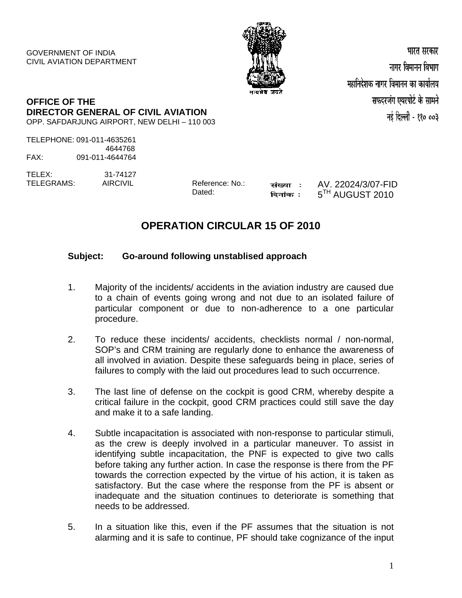GOVERNMENT OF INDIA CIVIL AVIATION DEPARTMENT



भारत सरकार नागर विमानन विभाग महानिदेशक नागर विमानन का कार्यालय सफदरजंग एयरपोर्ट के सामने नई दिल्ली - ११० ००३

## **OFFICE OF THE DIRECTOR GENERAL OF CIVIL AVIATION** OPP. SAFDARJUNG AIRPORT, NEW DELHI – 110 003

TELEPHONE: 091-011-4635261 4644768 FAX: 091-011-4644764

TELEX: 31-74127 TELEGRAMS: AIRCIVIL Reference: No.:

Dated:

संख्या : दिनांक :

AV. 22024/3/07-FID  $5^{TH}$  AUGUST 2010

## **OPERATION CIRCULAR 15 OF 2010**

## **Subject: Go-around following unstablised approach**

- 1. Majority of the incidents/ accidents in the aviation industry are caused due to a chain of events going wrong and not due to an isolated failure of particular component or due to non-adherence to a one particular procedure.
- 2. To reduce these incidents/ accidents, checklists normal / non-normal, SOP's and CRM training are regularly done to enhance the awareness of all involved in aviation. Despite these safeguards being in place, series of failures to comply with the laid out procedures lead to such occurrence.
- 3. The last line of defense on the cockpit is good CRM, whereby despite a critical failure in the cockpit, good CRM practices could still save the day and make it to a safe landing.
- 4. Subtle incapacitation is associated with non-response to particular stimuli, as the crew is deeply involved in a particular maneuver. To assist in identifying subtle incapacitation, the PNF is expected to give two calls before taking any further action. In case the response is there from the PF towards the correction expected by the virtue of his action, it is taken as satisfactory. But the case where the response from the PF is absent or inadequate and the situation continues to deteriorate is something that needs to be addressed.
- 5. In a situation like this, even if the PF assumes that the situation is not alarming and it is safe to continue, PF should take cognizance of the input